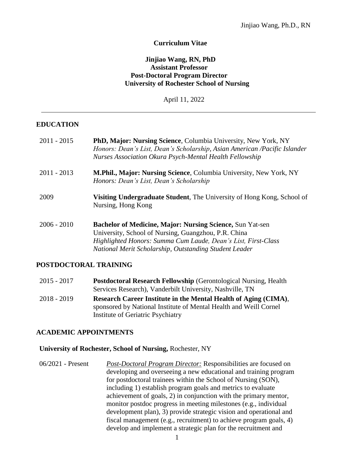#### **Curriculum Vitae**

#### **Jinjiao Wang, RN, PhD Assistant Professor Post-Doctoral Program Director University of Rochester School of Nursing**

April 11, 2022

#### **EDUCATION**

| $2011 - 2015$ | <b>PhD, Major: Nursing Science, Columbia University, New York, NY</b><br>Honors: Dean's List, Dean's Scholarship, Asian American /Pacific Islander<br><b>Nurses Association Okura Psych-Mental Health Fellowship</b>                                |
|---------------|-----------------------------------------------------------------------------------------------------------------------------------------------------------------------------------------------------------------------------------------------------|
| $2011 - 2013$ | M.Phil., Major: Nursing Science, Columbia University, New York, NY<br>Honors: Dean's List, Dean's Scholarship                                                                                                                                       |
| 2009          | <b>Visiting Undergraduate Student, The University of Hong Kong, School of</b><br>Nursing, Hong Kong                                                                                                                                                 |
| $2006 - 2010$ | <b>Bachelor of Medicine, Major: Nursing Science, Sun Yat-sen</b><br>University, School of Nursing, Guangzhou, P.R. China<br>Highlighted Honors: Summa Cum Laude, Dean's List, First-Class<br>National Merit Scholarship, Outstanding Student Leader |

#### **POSTDOCTORAL TRAINING**

| $2015 - 2017$ | <b>Postdoctoral Research Fellowship (Gerontological Nursing, Health</b> |
|---------------|-------------------------------------------------------------------------|
|               | Services Research), Vanderbilt University, Nashville, TN                |
| 2018 - 2019   | Research Career Institute in the Mental Health of Aging (CIMA),         |
|               | sponsored by National Institute of Mental Health and Weill Cornel       |
|               | Institute of Geriatric Psychiatry                                       |

#### **ACADEMIC APPOINTMENTS**

#### **University of Rochester, School of Nursing,** Rochester, NY

06/2021 - Present *Post-Doctoral Program Director:* Responsibilities are focused on developing and overseeing a new educational and training program for postdoctoral trainees within the School of Nursing (SON), including 1) establish program goals and metrics to evaluate achievement of goals, 2) in conjunction with the primary mentor, monitor postdoc progress in meeting milestones (e.g., individual development plan), 3) provide strategic vision and operational and fiscal management (e.g., recruitment) to achieve program goals, 4) develop and implement a strategic plan for the recruitment and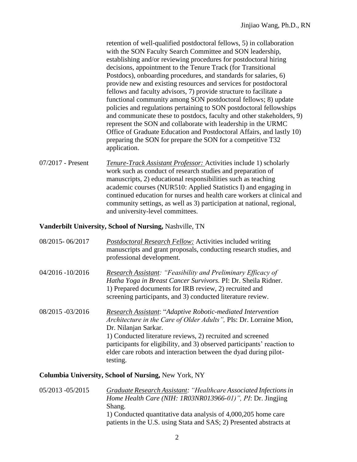retention of well-qualified postdoctoral fellows, 5) in collaboration with the SON Faculty Search Committee and SON leadership, establishing and/or reviewing procedures for postdoctoral hiring decisions, appointment to the Tenure Track (for Transitional Postdocs), onboarding procedures, and standards for salaries, 6) provide new and existing resources and services for postdoctoral fellows and faculty advisors, 7) provide structure to facilitate a functional community among SON postdoctoral fellows; 8) update policies and regulations pertaining to SON postdoctoral fellowships and communicate these to postdocs, faculty and other stakeholders, 9) represent the SON and collaborate with leadership in the URMC Office of Graduate Education and Postdoctoral Affairs, and lastly 10) preparing the SON for prepare the SON for a competitive T32 application.

07/2017 - Present *Tenure-Track Assistant Professor:* Activities include 1) scholarly work such as conduct of research studies and preparation of manuscripts, 2) educational responsibilities such as teaching academic courses (NUR510: Applied Statistics I) and engaging in continued education for nurses and health care workers at clinical and community settings, as well as 3) participation at national, regional, and university-level committees.

#### **Vanderbilt University, School of Nursing,** Nashville, TN

| 08/2015-06/2017                                             | <b>Postdoctoral Research Fellow:</b> Activities included writing<br>manuscripts and grant proposals, conducting research studies, and<br>professional development.                                                                                                                                                                                                                        |
|-------------------------------------------------------------|-------------------------------------------------------------------------------------------------------------------------------------------------------------------------------------------------------------------------------------------------------------------------------------------------------------------------------------------------------------------------------------------|
| $04/2016 - 10/2016$                                         | <b>Research Assistant: "Feasibility and Preliminary Efficacy of</b><br>Hatha Yoga in Breast Cancer Survivors. PI: Dr. Sheila Ridner.<br>1) Prepared documents for IRB review, 2) recruited and<br>screening participants, and 3) conducted literature review.                                                                                                                             |
| 08/2015 - 03/2016                                           | <b>Research Assistant: "Adaptive Robotic-mediated Intervention</b><br>Architecture in the Care of Older Adults", PIs: Dr. Lorraine Mion,<br>Dr. Nilanjan Sarkar.<br>1) Conducted literature reviews, 2) recruited and screened<br>participants for eligibility, and 3) observed participants' reaction to<br>elder care robots and interaction between the dyad during pilot-<br>testing. |
| <b>Columbia University, School of Nursing, New York, NY</b> |                                                                                                                                                                                                                                                                                                                                                                                           |

05/2013 -05/2015 *Graduate Research Assistant: "Healthcare Associated Infectionsin Home Health Care (NIH: 1R03NR013966-01)", PI*: Dr. Jingjing Shang. 1) Conducted quantitative data analysis of 4,000,205 home care patients in the U.S. using Stata and SAS; 2) Presented abstracts at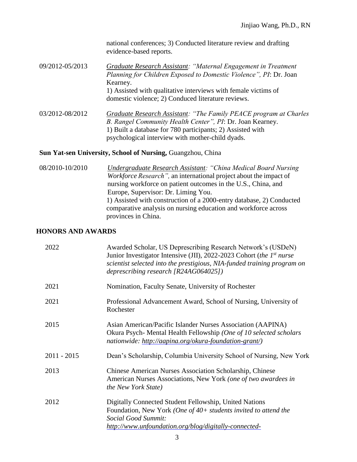|                 | national conferences; 3) Conducted literature review and drafting<br>evidence-based reports.                                                    |
|-----------------|-------------------------------------------------------------------------------------------------------------------------------------------------|
| 09/2012-05/2013 | Graduate Research Assistant: "Maternal Engagement in Treatment<br>Planning for Children Exposed to Domestic Violence", PI: Dr. Joan<br>Kearney. |
|                 | 1) Assisted with qualitative interviews with female victims of<br>domestic violence; 2) Conduced literature reviews.                            |
| 03/2012-08/2012 | <b>Graduate Research Assistant: "The Family PEACE program at Charles</b><br>B. Rangel Community Health Center", PI: Dr. Joan Kearney.           |

1) Built a database for 780 participants; 2) Assisted with

psychological interview with mother-child dyads.

### Sun Yat-sen University, School of Nursing, Guangzhou, China

08/2010-10/2010 *Undergraduate Research Assistant: "China Medical Board Nursing Workforce Research",* an international project about the impact of nursing workforce on patient outcomes in the U.S., China, and Europe, Supervisor: Dr. Liming You. 1) Assisted with construction of a 2000-entry database, 2) Conducted comparative analysis on nursing education and workforce across provinces in China.

#### **HONORS AND AWARDS**

| 2022          | Awarded Scholar, US Deprescribing Research Network's (USDeN)<br>Junior Investigator Intensive (JII), 2022-2023 Cohort (the $1^{st}$ nurse<br>scientist selected into the prestigious, NIA-funded training program on<br>deprescribing research $[R24AG064025]$ |
|---------------|----------------------------------------------------------------------------------------------------------------------------------------------------------------------------------------------------------------------------------------------------------------|
| 2021          | Nomination, Faculty Senate, University of Rochester                                                                                                                                                                                                            |
| 2021          | Professional Advancement Award, School of Nursing, University of<br>Rochester                                                                                                                                                                                  |
| 2015          | Asian American/Pacific Islander Nurses Association (AAPINA)<br>Okura Psych-Mental Health Fellowship (One of 10 selected scholars<br>nationwide: http://aapina.org/okura-foundation-grant/)                                                                     |
| $2011 - 2015$ | Dean's Scholarship, Columbia University School of Nursing, New York                                                                                                                                                                                            |
| 2013          | <b>Chinese American Nurses Association Scholarship, Chinese</b><br>American Nurses Associations, New York (one of two awardees in<br>the New York State)                                                                                                       |
| 2012          | Digitally Connected Student Fellowship, United Nations<br>Foundation, New York (One of 40+ students invited to attend the<br>Social Good Summit:<br>http://www.unfoundation.org/blog/digitally-connected-                                                      |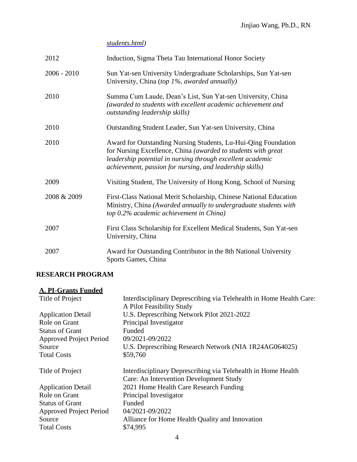*[students.html\)](http://www.unfoundation.org/blog/digitally-connected-students.html)*

| 2012          | Induction, Sigma Theta Tau International Honor Society                                                                                                                                                                                                    |
|---------------|-----------------------------------------------------------------------------------------------------------------------------------------------------------------------------------------------------------------------------------------------------------|
| $2006 - 2010$ | Sun Yat-sen University Undergraduate Scholarships, Sun Yat-sen<br>University, China (top 1%, awarded annually)                                                                                                                                            |
| 2010          | Summa Cum Laude, Dean's List, Sun Yat-sen University, China<br>(awarded to students with excellent academic achievement and<br><i>outstanding leadership skills)</i>                                                                                      |
| 2010          | Outstanding Student Leader, Sun Yat-sen University, China                                                                                                                                                                                                 |
| 2010          | Award for Outstanding Nursing Students, Lu-Hui-Qing Foundation<br>for Nursing Excellence, China (awarded to students with great<br>leadership potential in nursing through excellent academic<br>achievement, passion for nursing, and leadership skills) |
| 2009          | Visiting Student, The University of Hong Kong, School of Nursing                                                                                                                                                                                          |
| 2008 & 2009   | First-Class National Merit Scholarship, Chinese National Education<br>Ministry, China (Awarded annually to undergraduate students with<br>top 0.2% academic achievement in China)                                                                         |
| 2007          | First Class Scholarship for Excellent Medical Students, Sun Yat-sen<br>University, China                                                                                                                                                                  |
| 2007          | Award for Outstanding Contributor in the 8th National University<br>Sports Games, China                                                                                                                                                                   |

## **RESEARCH PROGRAM**

# **A. PI-Grants Funded**

| Interdisciplinary Deprescribing via Telehealth in Home Health Care:<br>A Pilot Feasibility Study         |
|----------------------------------------------------------------------------------------------------------|
| U.S. Deprescribing Network Pilot 2021-2022                                                               |
| Principal Investigator                                                                                   |
| Funded                                                                                                   |
| 09/2021-09/2022                                                                                          |
| U.S. Deprescribing Research Network (NIA 1R24AG064025)                                                   |
| \$59,760                                                                                                 |
| Interdisciplinary Deprescribing via Telehealth in Home Health<br>Care: An Intervention Development Study |
| 2021 Home Health Care Research Funding                                                                   |
| Principal Investigator                                                                                   |
| Funded                                                                                                   |
| 04/2021-09/2022                                                                                          |
| Alliance for Home Health Quality and Innovation                                                          |
| \$74,995                                                                                                 |
|                                                                                                          |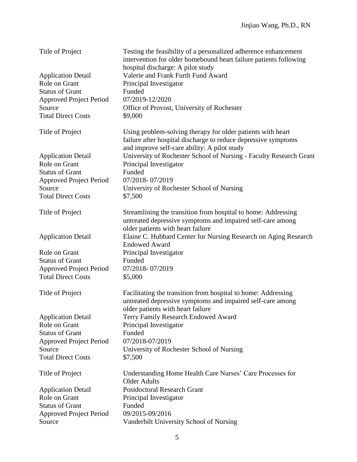| Title of Project                                            | Testing the feasibility of a personalized adherence enhancement<br>intervention for older homebound heart failure patients following<br>hospital discharge: A pilot study     |
|-------------------------------------------------------------|-------------------------------------------------------------------------------------------------------------------------------------------------------------------------------|
| <b>Application Detail</b>                                   | Valerie and Frank Furth Fund Award                                                                                                                                            |
| Role on Grant                                               | Principal Investigator                                                                                                                                                        |
| <b>Status of Grant</b>                                      | Funded                                                                                                                                                                        |
| <b>Approved Project Period</b>                              | 07/2019-12/2020                                                                                                                                                               |
| Source                                                      | Office of Provost, University of Rochester                                                                                                                                    |
| <b>Total Direct Costs</b>                                   | \$9,000                                                                                                                                                                       |
|                                                             |                                                                                                                                                                               |
| Title of Project                                            | Using problem-solving therapy for older patients with heart<br>failure after hospital discharge to reduce depressive symptoms<br>and improve self-care ability: A pilot study |
| <b>Application Detail</b>                                   | University of Rochester School of Nursing - Faculty Research Grant                                                                                                            |
| Role on Grant                                               | Principal Investigator                                                                                                                                                        |
| <b>Status of Grant</b>                                      | Funded                                                                                                                                                                        |
| <b>Approved Project Period</b>                              | 07/2018-07/2019                                                                                                                                                               |
| Source                                                      | University of Rochester School of Nursing                                                                                                                                     |
| <b>Total Direct Costs</b>                                   | \$7,500                                                                                                                                                                       |
|                                                             |                                                                                                                                                                               |
| Title of Project                                            | Streamlining the transition from hospital to home: Addressing<br>untreated depressive symptoms and impaired self-care among<br>older patients with heart failure              |
| <b>Application Detail</b>                                   | Elaine C. Hubbard Center for Nursing Research on Aging Research                                                                                                               |
|                                                             | <b>Endowed Award</b>                                                                                                                                                          |
| Role on Grant                                               | Principal Investigator                                                                                                                                                        |
| <b>Status of Grant</b>                                      | Funded                                                                                                                                                                        |
|                                                             | 07/2018-07/2019                                                                                                                                                               |
| <b>Approved Project Period</b><br><b>Total Direct Costs</b> | \$5,000                                                                                                                                                                       |
|                                                             |                                                                                                                                                                               |
| Title of Project                                            | Facilitating the transition from hospital to home: Addressing<br>untreated depressive symptoms and impaired self-care among<br>older patients with heart failure              |
| <b>Application Detail</b>                                   | Terry Family Research Endowed Award                                                                                                                                           |
| Role on Grant                                               | Principal Investigator                                                                                                                                                        |
| <b>Status of Grant</b>                                      | Funded                                                                                                                                                                        |
| <b>Approved Project Period</b>                              | 07/2018-07/2019                                                                                                                                                               |
| Source                                                      | University of Rochester School of Nursing                                                                                                                                     |
| <b>Total Direct Costs</b>                                   | \$7,500                                                                                                                                                                       |
|                                                             |                                                                                                                                                                               |
| Title of Project                                            | Understanding Home Health Care Nurses' Care Processes for<br><b>Older Adults</b>                                                                                              |
| <b>Application Detail</b>                                   | <b>Postdoctoral Research Grant</b>                                                                                                                                            |
| Role on Grant                                               | Principal Investigator                                                                                                                                                        |
| <b>Status of Grant</b>                                      | Funded                                                                                                                                                                        |
| <b>Approved Project Period</b>                              | 09/2015-09/2016                                                                                                                                                               |
| Source                                                      | Vanderbilt University School of Nursing                                                                                                                                       |
|                                                             |                                                                                                                                                                               |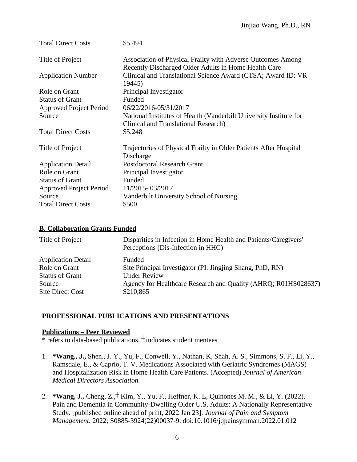| <b>Total Direct Costs</b>      | \$5,494                                                                                                             |
|--------------------------------|---------------------------------------------------------------------------------------------------------------------|
| Title of Project               | Association of Physical Frailty with Adverse Outcomes Among<br>Recently Discharged Older Adults in Home Health Care |
| <b>Application Number</b>      | Clinical and Translational Science Award (CTSA; Award ID: VR<br>19445)                                              |
| Role on Grant                  | Principal Investigator                                                                                              |
| <b>Status of Grant</b>         | Funded                                                                                                              |
| <b>Approved Project Period</b> | 06/22/2016-05/31/2017                                                                                               |
| Source                         | National Institutes of Health (Vanderbilt University Institute for<br><b>Clinical and Translational Research)</b>   |
| <b>Total Direct Costs</b>      | \$5,248                                                                                                             |
| Title of Project               | Trajectories of Physical Frailty in Older Patients After Hospital<br>Discharge                                      |
| <b>Application Detail</b>      | <b>Postdoctoral Research Grant</b>                                                                                  |
| Role on Grant                  | Principal Investigator                                                                                              |
| <b>Status of Grant</b>         | Funded                                                                                                              |
| Approved Project Period        | 11/2015-03/2017                                                                                                     |
| Source                         | Vanderbilt University School of Nursing                                                                             |
| <b>Total Direct Costs</b>      | \$500                                                                                                               |

### **B. Collaboration Grants Funded**

| Title of Project                           | Disparities in Infection in Home Health and Patients/Caregivers'<br>Perceptions (Dis-Infection in HHC) |
|--------------------------------------------|--------------------------------------------------------------------------------------------------------|
| <b>Application Detail</b><br>Role on Grant | Funded<br>Site Principal Investigator (PI: Jingjing Shang, PhD, RN)<br><b>Under Review</b>             |
| <b>Status of Grant</b><br>Source           | Agency for Healthcare Research and Quality (AHRQ; R01HS028637)                                         |
| <b>Site Direct Cost</b>                    | \$210,865                                                                                              |

### **PROFESSIONAL PUBLICATIONS AND PRESENTATIONS**

## **Publications – Peer Reviewed**

\* refers to data-based publications, <sup>+</sup> indicates student mentees

- 1. **\*Wang., J.,** Shen., J. Y., Yu, F., Conwell, Y., Nathan, K, Shah, A. S., Simmons, S. F., Li, Y., Ramsdale, E., & Caprio, T. V. Medications Associated with Geriatric Syndromes (MAGS) and Hospitalization Risk in Home Health Care Patients. (Accepted) *Journal of American Medical Directors Association.*
- 2. **\*Wang, J.,** Cheng, Z.,┼ Kim, Y., Yu, F., Heffner, K. L, Quinones M. M., & Li, Y. (2022). Pain and Dementia in Community-Dwelling Older U.S. Adults: A Nationally Representative Study. [published online ahead of print, 2022 Jan 23]. *Journal of Pain and Symptom Management*. 2022; S0885-3924(22)00037-9. doi:10.1016/j.jpainsymman.2022.01.012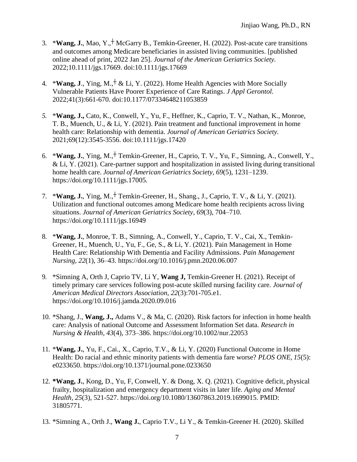- 3. \***Wang, J.**, Mao, Y.,┼ McGarry B., Temkin-Greener, H. (2022). Post-acute care transitions and outcomes among Medicare beneficiaries in assisted living communities. [published online ahead of print, 2022 Jan 25]. *Journal of the American Geriatrics Society.* 2022;10.1111/jgs.17669. doi:10.1111/jgs.17669
- 4. \***Wang, J**., Ying, M.,┼ & Li, Y. (2022). Home Health Agencies with More Socially Vulnerable Patients Have Poorer Experience of Care Ratings. *J Appl Gerontol.* 2022;41(3):661-670. doi:10.1177/07334648211053859
- *5.* \***Wang, J.,** Cato, K., Conwell, Y., Yu, F., Heffner, K., Caprio, T. V., Nathan, K., Monroe, T. B., Muench, U., & Li, Y. (2021). Pain treatment and functional improvement in home health care: Relationship with dementia. *Journal of American Geriatrics Society.* 2021;69(12):3545-3556. doi:10.1111/jgs.17420
- 6. \***Wang, J.**, Ying, M.,┼ Temkin-Greener, H., Caprio, T. V., Yu, F., Simning, A., Conwell, Y., & Li, Y. (2021). Care-partner support and hospitalization in assisted living during transitional home health care. *Journal of American Geriatrics Society, 69*(5), 1231–1239. https://doi.org/10.1111/jgs.17005*.*
- 7. \***Wang, J.**, Ying, M.,┼ Temkin-Greener, H., Shang., J., Caprio, T. V., & Li, Y. (2021). Utilization and functional outcomes among Medicare home health recipients across living situations. *Journal of American Geriatrics Society, 69*(3), 704–710. https://doi.org/10.1111/jgs.16949
- 8. \***Wang, J.**, Monroe, T. B., Simning, A., Conwell, Y., Caprio, T. V., Cai, X., Temkin-Greener, H., Muench, U., Yu, F., Ge, S., & Li, Y. (2021). Pain Management in Home Health Care: Relationship With Dementia and Facility Admissions. *Pain Management Nursing, 22*(1), 36–43. https://doi.org/10.1016/j.pmn.2020.06.007
- 9. \*Simning A, Orth J, Caprio TV, Li Y, **Wang J,** Temkin-Greener H. (2021). Receipt of timely primary care services following post-acute skilled nursing facility care. *Journal of American Medical Directors Association, 22*(3):701-705.e1. https://doi.org/10.1016/j.jamda.2020.09.016
- 10. \*Shang, J., **Wang, J.,** Adams V., & Ma, C. (2020). Risk factors for infection in home health care: Analysis of national Outcome and Assessment Information Set data. *Research in Nursing & Health, 43*(4), 373–386. https://doi.org/10.1002/nur.22053
- 11. \***Wang, J.**, Yu, F., Cai., X., Caprio, T.V., & Li, Y. (2020) Functional Outcome in Home Health: Do racial and ethnic minority patients with dementia fare worse? *PLOS ONE, 15*(5): e0233650. https://doi.org/10.1371/journal.pone.0233650
- 12. **\*Wang, J.**, Kong, D., Yu, F, Conwell, Y. & Dong, X. Q. (2021). Cognitive deficit, physical frailty, hospitalization and emergency department visits in later life. *Aging and Mental Health, 25*(3), 521-527. https://doi.org/10.1080/13607863.2019.1699015. PMID: 31805771.
- 13. \*Simning A., Orth J., **Wang J.**, Caprio T.V., Li Y., & Temkin-Greener H. (2020). Skilled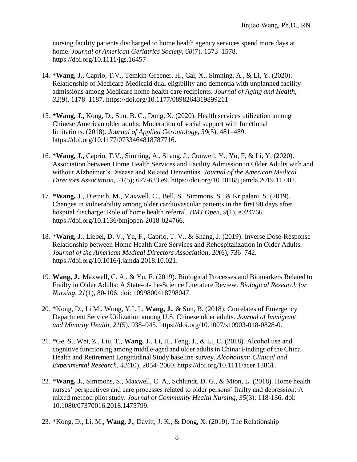nursing facility patients discharged to home health agency services spend more days at home. *Journal of American Geriatrics Society, 68*(7), 1573–1578. https://doi.org/10.1111/jgs.16457

- 14. \***Wang, J.,** Caprio, T.V., Temkin-Greener, H., Cai, X., Simning, A., & Li, Y. (2020). Relationship of Medicare-Medicaid dual eligibility and dementia with unplanned facility admissions among Medicare home health care recipients. *Journal of Aging and Health*, *32*(9), 1178–1187. https://doi.org/10.1177/0898264319899211
- 15. **\*Wang, J.,** Kong, D., Sun, B. C., Dong, X. (2020). Health services utilization among Chinese American older adults: Moderation of social support with functional limitations. (2018). *Journal of Applied Gerontology, 39*(5), 481–489. https://doi.org/10.1177/0733464818787716.
- 16. \***Wang, J.,** Caprio, T.V., Simning, A., Shang, J., Conwell, Y., Yu, F, & Li, Y. (2020). Association between Home Health Services and Facility Admission in Older Adults with and without Alzheimer's Disease and Related Dementias. *Journal of the American Medical Directors Association, 21*(5); 627-633.e9. https://doi.org/10.1016/j.jamda.2019.11.002.
- 17. **\*Wang, J**., Dietrich, M., Maxwell, C., Bell, S., Simmons, S., & Kripalani, S. (2019). Changes in vulnerability among older cardiovascular patients in the first 90 days after hospital discharge: Role of home health referral. *BMJ Open, 9*(1), e024766. https://doi.org/10.1136/bmjopen-2018-024766*.*
- 18. \***Wang, J**., Liebel, D. V., Yu, F., Caprio, T. V., & Shang, J. (2019). Inverse Dose-Response Relationship between Home Health Care Services and Rehospitalization in Older Adults. *Journal of the American Medical Directors Association, 20*(6), 736–742. https://doi.org/10.1016/j.jamda.2018.10.021.
- 19. **Wang, J.**, Maxwell, C. A., & Yu, F. (2019). Biological Processes and Biomarkers Related to Frailty in Older Adults: A State-of-the-Science Literature Review. *Biological Research for Nursing*, *21*(1), 80-106. doi: 1099800418798047.
- 20. \*Kong, D., Li M., Wong, Y.L.I., **Wang, J.**, & Sun, B. (2018). Correlates of Emergency Department Service Utilization among U.S. Chinese older adults. *Journal of Immigrant and Minority Health, 21*(5), 938–945. https://doi.org/10.1007/s10903-018-0828-0.
- 21. \*Ge, S., Wei, Z., Liu, T., **Wang, J.**, Li, H., Feng, J., & Li, C. (2018). Alcohol use and cognitive functioning among middle-aged and older adults in China: Findings of the China Health and Retirement Longitudinal Study baseline survey. *Alcoholism: Clinical and Experimental Research, 42*(10), 2054–2060. https://doi.org/10.1111/acer.13861.
- 22. \***Wang, J.**, Simmons, S., Maxwell, C. A., Schlundt, D. G., & Mion, L. (2018). Home health nurses' perspectives and care processes related to older persons' frailty and depression: A mixed method pilot study. *Journal of Community Health Nursing, 35*(3): 118-136. doi: 10.1080/07370016.2018.1475799.
- 23. \*Kong, D., Li, M., **Wang, J.**, Davitt, J. K., & Dong, X. (2019). The Relationship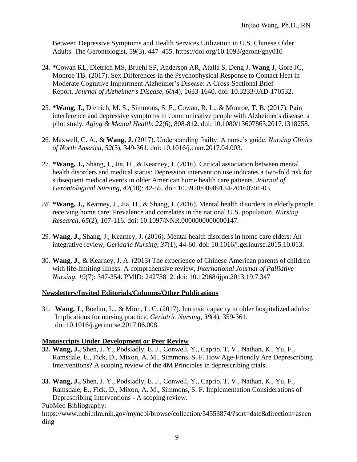Between Depressive Symptoms and Health Services Utilization in U.S. Chinese Older Adults. The Gerontologist, 59(3), 447–455. https://doi.org/10.1093/geront/gny010

- 24. **\***Cowan RL, Dietrich MS, Bruehl SP, Anderson AR, Atalla S, Deng J, **Wang J,** Gore JC, Monroe TB. (2017). Sex Differences in the Psychophysical Response to Contact Heat in Moderate Cognitive Impairment Alzheimer's Disease: A Cross-Sectional Brief Report. *Journal of Alzheimer's Disease*, *60*(4), 1633-1640. doi: 10.3233/JAD-170532.
- 25. **\*Wang, J.,** Dietrich, M. S., Simmons, S. F., Cowan, R. L., & Monroe, T. B. (2017). Pain interference and depressive symptoms in communicative people with Alzheimer's disease: a pilot study. *Aging & Mental Health, 22*(6), 808-812. doi: 10.1080/13607863.2017.1318258.
- 26. Maxwell, C. A., & **Wang, J.** (2017). Understanding frailty: A nurse's guide. *Nursing Clinics of North America*, *52*(3), 349-361. doi: 10.1016/j.cnur.2017.04.003.
- 27. **\*Wang, J.,** Shang, J., Jia, H., & Kearney, J. (2016). Critical association between mental health disorders and medical status: Depression intervention use indicates a two-fold risk for subsequent medical events in older American home health care patients. *Journal of Gerontological Nursing, 42*(10): 42-55. doi: 10.3928/00989134-20160701-03.
- *28.* **\*Wang, J.,** Kearney, J., Jia, H., & Shang, J. (2016). Mental health disorders in elderly people receiving home care: Prevalence and correlates in the national U.S. population, *Nursing Research, 65*(2), 107-116*.* doi: 10.1097/NNR.0000000000000147*.*
- 29. **Wang, J.,** Shang, J., Kearney, J. (2016). Mental health disorders in home care elders: An integrative review, *Geriatric Nursing*, *37*(1), 44-60*.* doi: 10.1016/j.gerinurse.2015.10.013.
- 30. **Wang, J.**, & Kearney, J. A. (2013) The experience of Chinese American parents of children with life-limiting illness: A comprehensive review, *International Journal of Palliative Nursing, 19*(7): 347-354. PMID: 24273812. doi: 10.12968/ijpn.2013.19.7.347

### **Newsletters/Invited Editorials/Columns/Other Publications**

31. **Wang, J**., Boehm, L., & Mion, L. C. (2017). Intrinsic capacity in older hospitalized adults: Implications for nursing practice. *Geriatric Nursing, 38*(4), 359-361. doi:10.1016/j.gerinurse.2017.06.008.

## **Manuscripts Under Development or Peer Review**

- **32. Wang, J.,** Shen, J. Y., Podsiadly, E. J., Conwell, Y., Caprio, T. V., Nathan, K., Yu, F., Ramsdale, E., Fick, D., Mixon, A. M., Simmons, S. F. How Age-Friendly Are Deprescribing Interventions? A scoping review of the 4M Principles in deprescribing trials.
- **33. Wang, J.,** Shen, J. Y., Podsiadly, E. J., Conwell, Y., Caprio, T. V., Nathan, K., Yu, F., Ramsdale, E., Fick, D., Mixon, A. M., Simmons, S. F. Implementation Considerations of Deprescribing Interventions - A scoping review.

PubMed Bibliography:

[https://www.ncbi.nlm.nih.gov/myncbi/browse/collection/54553874/?sort=date&direction=ascen](https://www.ncbi.nlm.nih.gov/myncbi/browse/collection/54553874/?sort=date&direction=ascending) [ding](https://www.ncbi.nlm.nih.gov/myncbi/browse/collection/54553874/?sort=date&direction=ascending)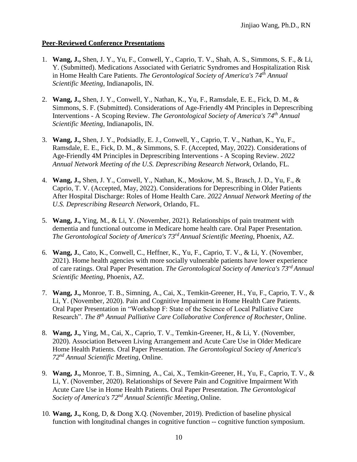#### **Peer-Reviewed Conference Presentations**

- 1. **Wang, J.,** Shen, J. Y., Yu, F., Conwell, Y., Caprio, T. V., Shah, A. S., Simmons, S. F., & Li, Y. (Submitted). Medications Associated with Geriatric Syndromes and Hospitalization Risk in Home Health Care Patients. *The Gerontological Society of America's 74 th Annual Scientific Meeting*, Indianapolis, IN.
- 2. **Wang, J.,** Shen, J. Y., Conwell, Y., Nathan, K., Yu, F., Ramsdale, E. E., Fick, D. M., & Simmons, S. F. (Submitted). Considerations of Age-Friendly 4M Principles in Deprescribing Interventions - A Scoping Review. *The Gerontological Society of America's 74th Annual Scientific Meeting*, Indianapolis, IN.
- 3. **Wang, J.,** Shen, J. Y., Podsiadly, E. J., Conwell, Y., Caprio, T. V., Nathan, K., Yu, F., Ramsdale, E. E., Fick, D. M., & Simmons, S. F. (Accepted, May, 2022). Considerations of Age-Friendly 4M Principles in Deprescribing Interventions - A Scoping Review. *2022 Annual Network Meeting of the U.S. Deprescribing Research Network,* Orlando, FL.
- 4. **Wang, J.,** Shen, J. Y., Conwell, Y., Nathan, K., Moskow, M. S., Brasch, J. D., Yu, F., & Caprio, T. V. (Accepted, May, 2022). Considerations for Deprescribing in Older Patients After Hospital Discharge: Roles of Home Health Care. *2022 Annual Network Meeting of the U.S. Deprescribing Research Network,* Orlando, FL.
- 5. **Wang, J.,** Ying, M., & Li, Y. (November, 2021). Relationships of pain treatment with dementia and functional outcome in Medicare home health care. Oral Paper Presentation. *The Gerontological Society of America's 73 rd Annual Scientific Meeting*, Phoenix, AZ.
- 6. **Wang, J.**, Cato, K., Conwell, C., Heffner, K., Yu, F., Caprio, T. V., & Li, Y. (November, 2021). Home health agencies with more socially vulnerable patients have lower experience of care ratings. Oral Paper Presentation. *The Gerontological Society of America's 73rd Annual Scientific Meeting*, Phoenix, AZ.
- 7. **Wang, J.,** Monroe, T. B., Simning, A., Cai, X., Temkin-Greener, H., Yu, F., Caprio, T. V., & Li, Y. (November, 2020). Pain and Cognitive Impairment in Home Health Care Patients. Oral Paper Presentation in "Workshop F: State of the Science of Local Palliative Care Research". *The 8 th Annual Palliative Care Collaborative Conference of Rochester*, Online.
- 8. **Wang, J.,** Ying, M., Cai, X., Caprio, T. V., Temkin-Greener, H., & Li, Y. (November, 2020). Association Between Living Arrangement and Acute Care Use in Older Medicare Home Health Patients. Oral Paper Presentation. *The Gerontological Society of America's 72 nd Annual Scientific Meeting*, Online.
- 9. **Wang, J.,** Monroe, T. B., Simning, A., Cai, X., Temkin-Greener, H., Yu, F., Caprio, T. V., & Li, Y. (November, 2020). Relationships of Severe Pain and Cognitive Impairment With Acute Care Use in Home Health Patients. Oral Paper Presentation. *The Gerontological Society of America's 72nd Annual Scientific Meeting*, Online.
- 10. **Wang, J.,** Kong, D, & Dong X.Q. (November, 2019). Prediction of baseline physical function with longitudinal changes in cognitive function -- cognitive function symposium.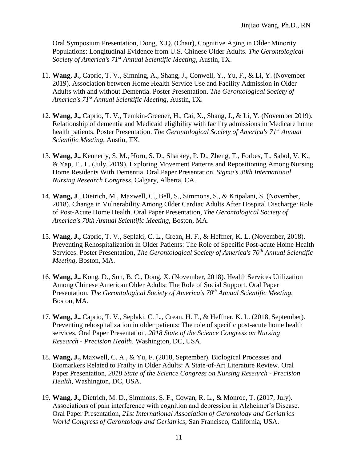Oral Symposium Presentation, Dong, X.Q. (Chair), Cognitive Aging in Older Minority Populations: Longitudinal Evidence from U.S. Chinese Older Adults. *The Gerontological Society of America's 71st Annual Scientific Meeting*, Austin, TX.

- 11. **Wang, J.,** Caprio, T. V., Simning, A., Shang, J., Conwell, Y., Yu, F., & Li, Y. (November 2019). Association between Home Health Service Use and Facility Admission in Older Adults with and without Dementia. Poster Presentation. *The Gerontological Society of America's 71st Annual Scientific Meeting*, Austin, TX.
- 12. **Wang, J.,** Caprio, T. V., Temkin-Greener, H., Cai, X., Shang, J., & Li, Y. (November 2019). Relationship of dementia and Medicaid eligibility with facility admissions in Medicare home health patients. Poster Presentation. *The Gerontological Society of America's 71st Annual Scientific Meeting*, Austin, TX.
- 13. **Wang, J.,** Kennerly, S. M., Horn, S. D., Sharkey, P. D., Zheng, T., Forbes, T., Sabol, V. K., & Yap, T., L. (July, 2019). Exploring Movement Patterns and Repositioning Among Nursing Home Residents With Dementia. Oral Paper Presentation. *Sigma's 30th International Nursing Research Congress,* Calgary, Alberta, CA.
- 14. **Wang, J**., Dietrich, M., Maxwell, C., Bell, S., Simmons, S., & Kripalani, S. (November, 2018). Change in Vulnerability Among Older Cardiac Adults After Hospital Discharge: Role of Post-Acute Home Health. Oral Paper Presentation, *The Gerontological Society of America's 70th Annual Scientific Meeting*, Boston, MA.
- 15. **Wang, J.,** Caprio, T. V., Seplaki, C. L., Crean, H. F., & Heffner, K. L. (November, 2018). Preventing Rehospitalization in Older Patients: The Role of Specific Post-acute Home Health Services. Poster Presentation, *The Gerontological Society of America's 70th Annual Scientific Meeting*, Boston, MA.
- 16. **Wang, J.,** Kong, D., Sun, B. C., Dong, X. (November, 2018). Health Services Utilization Among Chinese American Older Adults: The Role of Social Support. Oral Paper Presentation, *The Gerontological Society of America's 70th Annual Scientific Meeting*, Boston, MA.
- 17. **Wang, J.,** Caprio, T. V., Seplaki, C. L., Crean, H. F., & Heffner, K. L. (2018, September). Preventing rehospitalization in older patients: The role of specific post-acute home health services. Oral Paper Presentation, *2018 State of the Science Congress on Nursing Research - Precision Health,* Washington, DC, USA.
- 18. **Wang, J.,** Maxwell, C. A., & Yu, F. (2018, September). Biological Processes and Biomarkers Related to Frailty in Older Adults: A State-of-Art Literature Review. Oral Paper Presentation, *2018 State of the Science Congress on Nursing Research - Precision Health,* Washington, DC, USA.
- 19. **Wang, J.,** Dietrich, M. D., Simmons, S. F., Cowan, R. L., & Monroe, T. (2017, July). Associations of pain interference with cognition and depression in Alzheimer's Disease. Oral Paper Presentation, *21st International Association of Gerontology and Geriatrics World Congress of Gerontology and Geriatrics*, San Francisco, California, USA.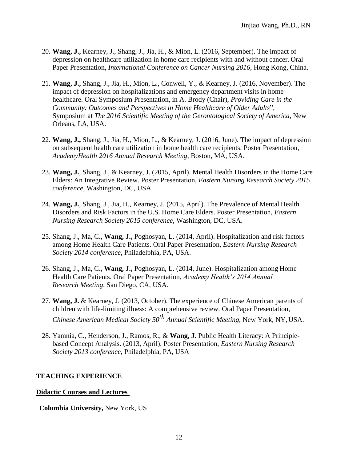- 20. **Wang, J.,** Kearney, J., Shang, J., Jia, H., & Mion, L. (2016, September). The impact of depression on healthcare utilization in home care recipients with and without cancer. Oral Paper Presentation, *International Conference on Cancer Nursing 2016*, Hong Kong, China.
- 21. **Wang, J.,** Shang, J., Jia, H., Mion, L., Conwell, Y., & Kearney, J. (2016, November). The impact of depression on hospitalizations and emergency department visits in home healthcare. Oral Symposium Presentation, in A. Brody (Chair), *Providing Care in the Community: Outcomes and Perspectives in Home Healthcare of Older Adults*"*,*  Symposium at *The 2016 Scientific Meeting of the Gerontological Society of America*, New Orleans, LA, USA.
- 22. **Wang, J.,** Shang, J., Jia, H., Mion, L., & Kearney, J. (2016, June). The impact of depression on subsequent health care utilization in home health care recipients. Poster Presentation, *AcademyHealth 2016 Annual Research Meeting*, Boston, MA, USA.
- 23. **Wang, J.**, Shang, J., & Kearney, J. (2015, April). Mental Health Disorders in the Home Care Elders: An Integrative Review. Poster Presentation, *Eastern Nursing Research Society 2015 conference,* Washington, DC, USA.
- 24. **Wang, J.**, Shang, J., Jia, H., Kearney, J. (2015, April). The Prevalence of Mental Health Disorders and Risk Factors in the U.S. Home Care Elders. Poster Presentation, *Eastern Nursing Research Society 2015 conference,* Washington, DC, USA.
- 25. Shang, J., Ma, C., **Wang, J.,** Poghosyan, L. (2014, April). Hospitalization and risk factors among Home Health Care Patients. Oral Paper Presentation, *Eastern Nursing Research Society 2014 conference,* Philadelphia, PA, USA.
- 26. Shang, J., Ma, C., **Wang, J.,** Poghosyan, L. (2014, June). Hospitalization among Home Health Care Patients. Oral Paper Presentation, *Academy Health's 2014 Annual Research Meeting*, San Diego, CA, USA.
- 27. **Wang, J.** & Kearney, J. (2013, October). The experience of Chinese American parents of children with life-limiting illness: A comprehensive review. Oral Paper Presentation, *Chinese American Medical Society 50th Annual Scientific Meeting*, New York, NY, USA.
- 28. Yamnia, C., Henderson, J., Ramos, R., & **Wang, J.** Public Health Literacy: A Principlebased Concept Analysis. (2013, April). Poster Presentation, *Eastern Nursing Research Society 2013 conference*, Philadelphia, PA, USA

### **TEACHING EXPERIENCE**

#### **Didactic Courses and Lectures**

**Columbia University,** New York, US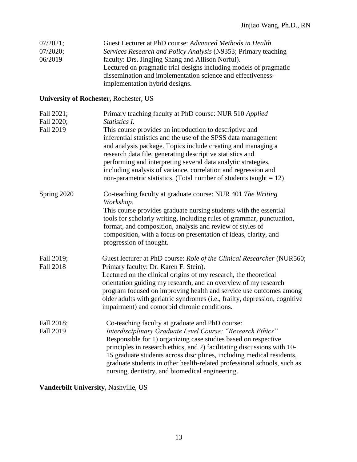| $07/2021$ : | Guest Lecturer at PhD course: Advanced Methods in Health          |
|-------------|-------------------------------------------------------------------|
| $07/2020$ ; | Services Research and Policy Analysis (N9353; Primary teaching    |
| 06/2019     | faculty: Drs. Jingjing Shang and Allison Norful).                 |
|             | Lectured on pragmatic trial designs including models of pragmatic |
|             | dissemination and implementation science and effectiveness-       |
|             | implementation hybrid designs.                                    |

# **University of Rochester,** Rochester, US

| Fall 2021;<br>Fall 2020;<br><b>Fall 2019</b> | Primary teaching faculty at PhD course: NUR 510 Applied<br>Statistics I.<br>This course provides an introduction to descriptive and<br>inferential statistics and the use of the SPSS data management<br>and analysis package. Topics include creating and managing a<br>research data file, generating descriptive statistics and<br>performing and interpreting several data analytic strategies,<br>including analysis of variance, correlation and regression and<br>non-parametric statistics. (Total number of students taught = $12$ ) |
|----------------------------------------------|-----------------------------------------------------------------------------------------------------------------------------------------------------------------------------------------------------------------------------------------------------------------------------------------------------------------------------------------------------------------------------------------------------------------------------------------------------------------------------------------------------------------------------------------------|
| Spring 2020                                  | Co-teaching faculty at graduate course: NUR 401 The Writing<br>Workshop.<br>This course provides graduate nursing students with the essential<br>tools for scholarly writing, including rules of grammar, punctuation,<br>format, and composition, analysis and review of styles of<br>composition, with a focus on presentation of ideas, clarity, and<br>progression of thought.                                                                                                                                                            |
| Fall 2019;<br><b>Fall 2018</b>               | Guest lecturer at PhD course: Role of the Clinical Researcher (NUR560;<br>Primary faculty: Dr. Karen F. Stein).<br>Lectured on the clinical origins of my research, the theoretical<br>orientation guiding my research, and an overview of my research<br>program focused on improving health and service use outcomes among<br>older adults with geriatric syndromes (i.e., frailty, depression, cognitive<br>impairment) and comorbid chronic conditions.                                                                                   |
| Fall 2018;<br><b>Fall 2019</b>               | Co-teaching faculty at graduate and PhD course:<br>Interdisciplinary Graduate Level Course: "Research Ethics"<br>Responsible for 1) organizing case studies based on respective<br>principles in research ethics, and 2) facilitating discussions with 10-<br>15 graduate students across disciplines, including medical residents,<br>graduate students in other health-related professional schools, such as<br>nursing, dentistry, and biomedical engineering.                                                                             |

**Vanderbilt University,** Nashville, US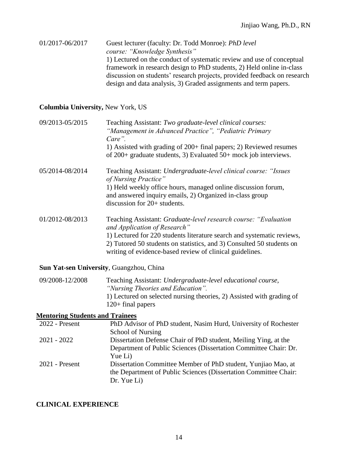01/2017-06/2017 Guest lecturer (faculty: Dr. Todd Monroe): *PhD level course: "Knowledge Synthesis"* 1) Lectured on the conduct of systematic review and use of conceptual framework in research design to PhD students, 2) Held online in-class discussion on students' research projects, provided feedback on research design and data analysis, 3) Graded assignments and term papers.

### **Columbia University,** New York, US

| 09/2013-05/2015 | Teaching Assistant: Two graduate-level clinical courses:<br>"Management in Advanced Practice", "Pediatric Primary<br>Care".<br>1) Assisted with grading of 200+ final papers; 2) Reviewed resumes<br>of $200+$ graduate students, 3) Evaluated $50+$ mock job interviews.                                       |
|-----------------|-----------------------------------------------------------------------------------------------------------------------------------------------------------------------------------------------------------------------------------------------------------------------------------------------------------------|
| 05/2014-08/2014 | Teaching Assistant: Undergraduate-level clinical course: "Issues"<br>of Nursing Practice"<br>1) Held weekly office hours, managed online discussion forum,<br>and answered inquiry emails, 2) Organized in-class group<br>discussion for $20+$ students.                                                        |
| 01/2012-08/2013 | Teaching Assistant: Graduate-level research course: "Evaluation"<br>and Application of Research"<br>1) Lectured for 220 students literature search and systematic reviews,<br>2) Tutored 50 students on statistics, and 3) Consulted 50 students on<br>writing of evidence-based review of clinical guidelines. |

### **Sun Yat-sen University**, Guangzhou, China

| 09/2008-12/2008 | Teaching Assistant: Undergraduate-level educational course,           |
|-----------------|-----------------------------------------------------------------------|
|                 | "Nursing Theories and Education".                                     |
|                 | 1) Lectured on selected nursing theories, 2) Assisted with grading of |
|                 | $120+$ final papers                                                   |

### **Mentoring Students and Trainees**

| $2022$ - Present | PhD Advisor of PhD student, Nasim Hurd, University of Rochester  |
|------------------|------------------------------------------------------------------|
|                  | <b>School of Nursing</b>                                         |
| $2021 - 2022$    | Dissertation Defense Chair of PhD student, Meiling Ying, at the  |
|                  | Department of Public Sciences (Dissertation Committee Chair: Dr. |
|                  | Yue Li)                                                          |
| $2021$ - Present | Dissertation Committee Member of PhD student, Yunjiao Mao, at    |
|                  | the Department of Public Sciences (Dissertation Committee Chair: |
|                  | Dr. Yue Li                                                       |
|                  |                                                                  |

### **CLINICAL EXPERIENCE**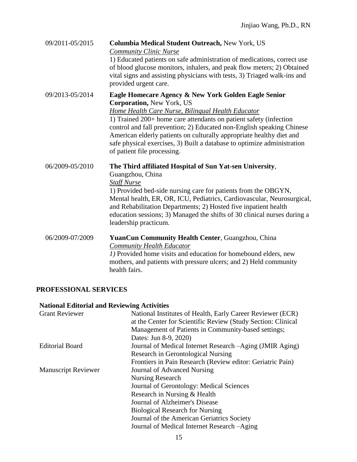| 09/2011-05/2015 | Columbia Medical Student Outreach, New York, US<br><b>Community Clinic Nurse</b><br>1) Educated patients on safe administration of medications, correct use<br>of blood glucose monitors, inhalers, and peak flow meters; 2) Obtained<br>vital signs and assisting physicians with tests, 3) Triaged walk-ins and<br>provided urgent care.                                                                                                                                    |
|-----------------|-------------------------------------------------------------------------------------------------------------------------------------------------------------------------------------------------------------------------------------------------------------------------------------------------------------------------------------------------------------------------------------------------------------------------------------------------------------------------------|
| 09/2013-05/2014 | Eagle Homecare Agency & New York Golden Eagle Senior<br><b>Corporation, New York, US</b><br>Home Health Care Nurse, Bilingual Health Educator<br>1) Trained 200+ home care attendants on patient safety (infection<br>control and fall prevention; 2) Educated non-English speaking Chinese<br>American elderly patients on culturally appropriate healthy diet and<br>safe physical exercises, 3) Built a database to optimize administration<br>of patient file processing. |
| 06/2009-05/2010 | The Third affiliated Hospital of Sun Yat-sen University,<br>Guangzhou, China<br><b>Staff Nurse</b><br>1) Provided bed-side nursing care for patients from the OBGYN,<br>Mental health, ER, OR, ICU, Pediatrics, Cardiovascular, Neurosurgical,<br>and Rehabilitation Departments; 2) Hosted five inpatient health<br>education sessions; 3) Managed the shifts of 30 clinical nurses during a<br>leadership practicum.                                                        |
| 06/2009-07/2009 | YuanCun Community Health Center, Guangzhou, China<br><b>Community Health Educator</b><br>1) Provided home visits and education for homebound elders, new<br>mothers, and patients with pressure ulcers; and 2) Held community<br>health fairs.                                                                                                                                                                                                                                |

## **PROFESSIONAL SERVICES**

## **National Editorial and Reviewing Activities**

| <b>Grant Reviewer</b>      | National Institutes of Health, Early Career Reviewer (ECR)   |
|----------------------------|--------------------------------------------------------------|
|                            | at the Center for Scientific Review (Study Section: Clinical |
|                            | Management of Patients in Community-based settings;          |
|                            | Dates: Jun 8-9, 2020)                                        |
| <b>Editorial Board</b>     | Journal of Medical Internet Research – Aging (JMIR Aging)    |
|                            | Research in Gerontological Nursing                           |
|                            | Frontiers in Pain Research (Review editor: Geriatric Pain)   |
| <b>Manuscript Reviewer</b> | Journal of Advanced Nursing                                  |
|                            | <b>Nursing Research</b>                                      |
|                            | Journal of Gerontology: Medical Sciences                     |
|                            | Research in Nursing & Health                                 |
|                            | Journal of Alzheimer's Disease                               |
|                            | <b>Biological Research for Nursing</b>                       |
|                            | Journal of the American Geriatrics Society                   |
|                            | Journal of Medical Internet Research -Aging                  |
|                            |                                                              |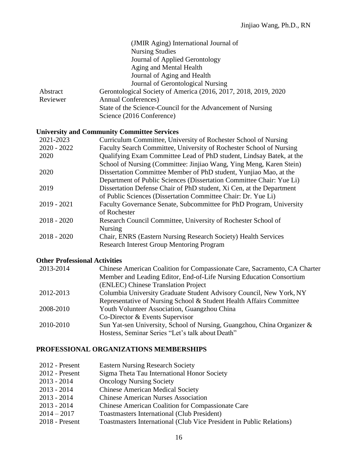|          | (JMIR Aging) International Journal of                            |
|----------|------------------------------------------------------------------|
|          | <b>Nursing Studies</b>                                           |
|          | Journal of Applied Gerontology                                   |
|          | Aging and Mental Health                                          |
|          | Journal of Aging and Health                                      |
|          | Journal of Gerontological Nursing                                |
| Abstract | Gerontological Society of America (2016, 2017, 2018, 2019, 2020) |
| Reviewer | <b>Annual Conferences</b> )                                      |
|          | State of the Science-Council for the Advancement of Nursing      |
|          | Science (2016 Conference)                                        |

### **University and Community Committee Services**

| 2021-2023     | Curriculum Committee, University of Rochester School of Nursing      |
|---------------|----------------------------------------------------------------------|
| $2020 - 2022$ | Faculty Search Committee, University of Rochester School of Nursing  |
| 2020          | Qualifying Exam Committee Lead of PhD student, Lindsay Batek, at the |
|               | School of Nursing (Committee: Jinjiao Wang, Ying Meng, Karen Stein)  |
| 2020          | Dissertation Committee Member of PhD student, Yunjiao Mao, at the    |
|               | Department of Public Sciences (Dissertation Committee Chair: Yue Li) |
| 2019          | Dissertation Defense Chair of PhD student, Xi Cen, at the Department |
|               | of Public Sciences (Dissertation Committee Chair: Dr. Yue Li)        |
| $2019 - 2021$ | Faculty Governance Senate, Subcommittee for PhD Program, University  |
|               | of Rochester                                                         |
| $2018 - 2020$ | Research Council Committee, University of Rochester School of        |
|               | <b>Nursing</b>                                                       |
| $2018 - 2020$ | Chair, ENRS (Eastern Nursing Research Society) Health Services       |
|               | <b>Research Interest Group Mentoring Program</b>                     |

## **Other Professional Activities**

| 2013-2014 | Chinese American Coalition for Compassionate Care, Sacramento, CA Charter |
|-----------|---------------------------------------------------------------------------|
|           | Member and Leading Editor, End-of-Life Nursing Education Consortium       |
|           | (ENLEC) Chinese Translation Project                                       |
| 2012-2013 | Columbia University Graduate Student Advisory Council, New York, NY       |
|           | Representative of Nursing School & Student Health Affairs Committee       |
| 2008-2010 | Youth Volunteer Association, Guangzhou China                              |
|           | Co-Director & Events Supervisor                                           |
| 2010-2010 | Sun Yat-sen University, School of Nursing, Guangzhou, China Organizer &   |
|           | Hostess, Seminar Series "Let's talk about Death"                          |
|           |                                                                           |

## **PROFESSIONAL ORGANIZATIONS MEMBERSHIPS**

| $2012$ - Present | <b>Eastern Nursing Research Society</b>                              |
|------------------|----------------------------------------------------------------------|
| $2012$ - Present | Sigma Theta Tau International Honor Society                          |
| $2013 - 2014$    | <b>Oncology Nursing Society</b>                                      |
| $2013 - 2014$    | <b>Chinese American Medical Society</b>                              |
| $2013 - 2014$    | <b>Chinese American Nurses Association</b>                           |
| $2013 - 2014$    | <b>Chinese American Coalition for Compassionate Care</b>             |
| $2014 - 2017$    | <b>Toastmasters International (Club President)</b>                   |
| $2018$ - Present | Toastmasters International (Club Vice President in Public Relations) |